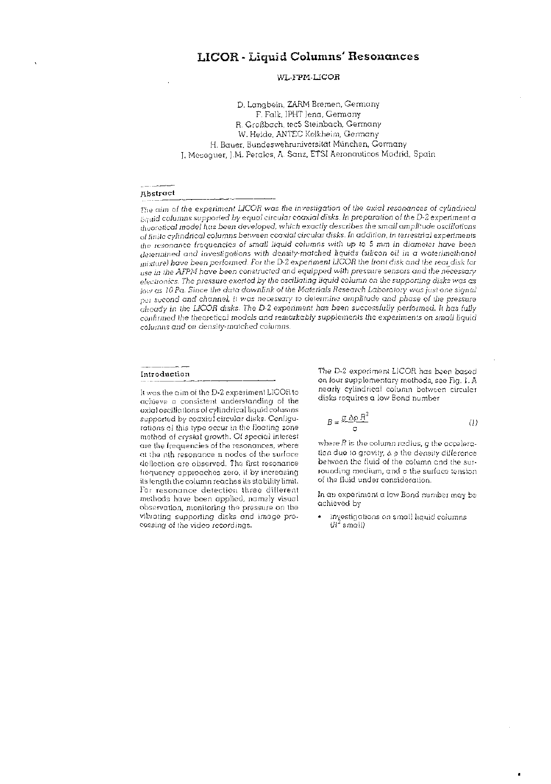## **WL-FPM-LICOR**

D. Langbein, ZARM Bremen, Germany F. Falk, IPHT Jena, Germany R, Großbach, tec5 Steinbach, Germany W. Heide, ANTEC Kelkheim, Germany H. Bauer, Bundeswehruniversität München, Germany ]. Meseguer, J.M. Perales, A. Sanz, ETSI Aeronauticos Madrid, Spain

#### **Abstrac t**

*The aim* of *the experiment LICOR was the investigation of the* axial resonances *oi cylindrical liquid columns supported by equal circular* coaxiaJ *disks. In preparation ot the D-2 experiment a •heoreiical model has been developed, which exactly describes the small amplitude oscillations*  of finite *cylindrical columns between* coaxial *circular disks. In addition, in terrestrial experiments the resonance frequencies of small liquid columns with* up *to 5 mm in diameter have been determined and investigations with density-matched liquids (silicon oil in* a *waierlmethanol mixture) have been performed. For the D-2 experiment LICOR the front disk and the rear disk lor use in the AFPM have been constructed and equipped with pressure sensors and the necessary electronics. The pressure exerted by the oscillating liquid column* on trie *supporting disks vsas as low as 10 Pa. Since the data downlink* of *the Materials Research Laboratory was just* one *signal*  per second and channel, it was necessary to determine amplitude and phase of the pressure *already in the LICOR* disks. *The D-2 experiment has been* successfully performed. *It has fully*  confirmed the *theoretical models and remarkably supplements the experiments* on small liquid columns *and on density-matched columns.* 

#### **Introduction**

It was the aim oi the D-2 experiment LICOR to achieve a consistent understanding of the axial oscillations of cylindrical liquid columns supported by coaxial circular disks. Configurations of this type occur in the floating zone method of crystal growth. Of special interest are the frequencies of the resonances, where at the nth resonance n nodes of the surface deflection are observed. The first resonance frequency approaches zero, if by increasing its length the column reaches its stability limit. For resonance detection three different methods have been applied, namely visual observation, monitoring the pressure on the vibrating supporting disks and image processing of the video recordings.

The D-2 experiment LICOR has been based on four supplementary methods, see Fig. 1. A nearly cylindrical column between circular disks requires a low Bond number

$$
B = \frac{g \Delta \rho R^2}{\sigma} \tag{1}
$$

where *R* is the column radius, g the acceleration due to gravity,  $\Delta p$  the density difference between the fluid of the column and the surrounding medium, an d *a* the surface tension of the fluid under consideration.

In an experiment a low Bond number may be achieved by

• investigations on small liquid columns *Ur* small)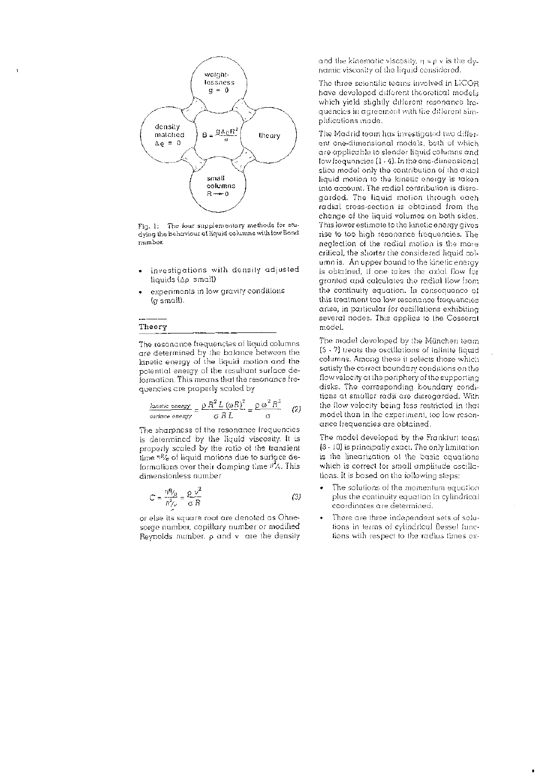

Fig. 1: The four supplementary methods for studying the behaviour of liquid columns with low Bond number.

- investigations with density adjusted liquids (Ap small)
- experiments in low gravity conditions (g small).

# **Theory**

The resonance frequencies of liquid columns are determined by the balance between the kinetic energy of the liquid motion and the potential energy of the resultant surface deformation. This mean s that the resonance frequencies are properly scaled by

$$
\frac{\text{Anetic energy}}{\text{surface energy}} = \frac{\rho R^2 L (\omega R)^2}{\sigma R L} = \frac{\rho \omega^2 R^3}{\sigma} \qquad (2)
$$

The sharpness of the resonance frequencies is determined by the liquid viscosity. It is properly scaled by the ratio of the transient time  $\eta$ % of liquid motions due to surface deformations over their damping time  $\frac{n^2}{n}$ . This dimensionless number

$$
C = \frac{nR_{\text{G}}}{R_{\text{A}}^2} = \frac{\rho \nu^2}{\sigma R}
$$
 (3)

or else its square root are denoted as Ohnesorge number, capillary number or modified Reynolds number,  $\rho$  and  $\nu$  are the density

and the kinematic viscosity,  $\eta = \rho$  v is the dynamic viscosity of the liquid considered.

The three scientific teams involved in LICOR have developed different theoretical models which yield slightly different resonance frequencies in agreement with tire different simplifications made .

The Madrid team has investigated two different one-dimensional models, both of which are applicable to slender liquid columns and low frequencies [1 - 4]. In the one-dimensional slice model only the contribution of the axial liquid motion to the kinetic energy is taken into account. The radial contribution is disregarded. The liquid motion through each radial cross-section is obtained from the change of the liquid volumes on both sides. This lower estimate to the kinetic energy gives rise to too high resonance frequencies. The neglection of the radial motion is the more critical, the shorter the considered liquid column is. An upper bound to the kinetic energy is obtained, if one takes the axial flow for granted and calculates the radial flow from the continuity equation. In consequence of this treatment too low resonance frequencies arise, in particular for oscillations exhibiting several nodes. This applies to the Cosserat model.

The mode! developed by the Munchen team [5 - 7] treats the oscillations of infinite liquid columns. Among these it selects those which satisfy the correct boundary conditions on the flow velocity at the periphery of the supporting disks. The corresponding boundary conditions at smaller radii are disregarded. With the flow velocity being less restricted in that model than in the experiment, too low resonance frequencies are obtained.

The model developed by the Frankfurt team [8 - 10] is principally exact. The only limitation is the linearization of the basic equations which is correct for small amplitude oscillations. It is based on the following steps:

- The solutions of the momentum equation plus the continuity equation in cylindrical coordinates are determined.
- There are three independent sets of solutions in terms of cylindrical Bessel functions with respect to the radius times ex-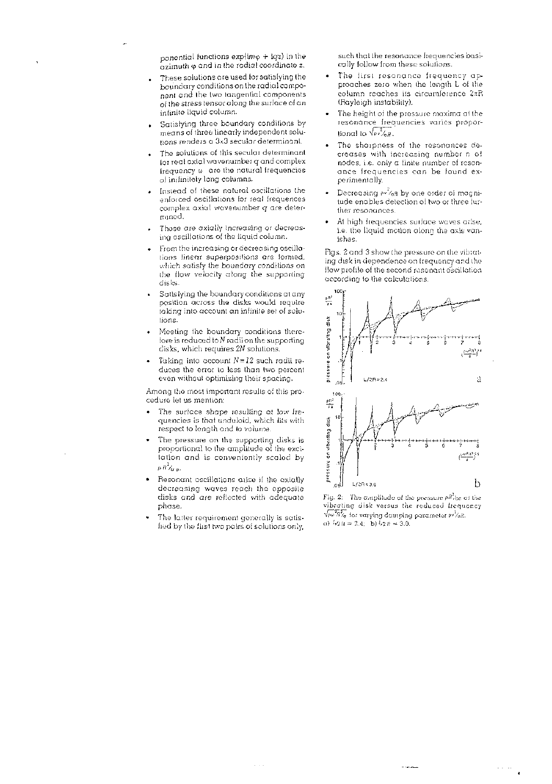ponential functions  $exp(im\varphi + i\varphi z)$  in the  $\alpha$ zimuth  $\varphi$  and in the radial coordinate z.

- . These solutions are used for satisfying the boundary conditions on the radial component and the two tangential components of the stress tensor along the surface of a n infinite liquid column.
- . Satisfying three boundary conditions by means of three linearly independent solutions renders a 3x3 secular determinant.
- The solutions of this secular determinant for real axial wavenumber q and complex frequency  $\omega$  are the natural frequencies of inifinitely long columns.
- Instead of these natural oscillations the enforced oscillations lor real frequences complex axial wavenumber *q ate* determined.
- These are axially increasing or decreasing oscillations of the liquid column.
- From the increasing or decreasing oscillations linear superpositions are formed, which satisfy the boundary conditions on the flow velocity along the supporting disks.
- Satisiying the boundary conditions at any position across the disks would require taking into account an infinite set of solutions.
- Meeting the boundary conditions therefore is reduced to  $N$  radii on the supporting disks, which requires *2N* solutions.
- Taking into account *N = 12* such radii reduces the error to less than two percent even without optimizing their spacing.

Among the most important results of this procedure let us mention:

- The surface shape resulting at low frequencies is that unduloid, which fits with respect to length and to volume.
- The pressure on the supporting disks is proportional to the amplitude of the excitation and is conveniently scaled by **2 P " /a a-**
- Resonant oscillations arise if the axially decreasing waves reach the opposite disks and are reflected with adequate phase.
- The latter requirement generally is satisfied by the first two pairs of solutions only,

such that the resonance frequencies basically follow from these solutions.

- The first resonance frequency approaches zero when the length L of the column reaches its circumference 2xR (Rayleigh instability).
- The height of the pressure maxima at the resonance frequencies varies proportional to  $\sqrt{\frac{2}{\pi}}$ ,
- The sharpness of the resonances decrease s with increasing number *r.* of nodes, i.e. only a finite number of resonance frequencies can be found experimentally.
- Decreasing  $v^2$ <sub>6</sub>H by one order of magnitude enables detection of two or three further resonances.
- At high frequencies surface waves arise, i.e. the liquid motion along the axis vanishes.

Figs. 2 and 3 show the pressure on the vibrating disk in dependence on frequency and the flow profile of the second resonant oscillation according to the calculations.



Fig. 2: The amplitude of tire pressure *pR~/cc* at the vibrating disk versus the reduced frequency  $\sqrt{p}\omega^2\beta/\sigma$  for varying damping parameter  $p\sqrt{2}\sigma\beta$ . a)  $\frac{1}{2}h + 2h = 2.4$ ; b)  $\frac{1}{2}h = 3.0$ .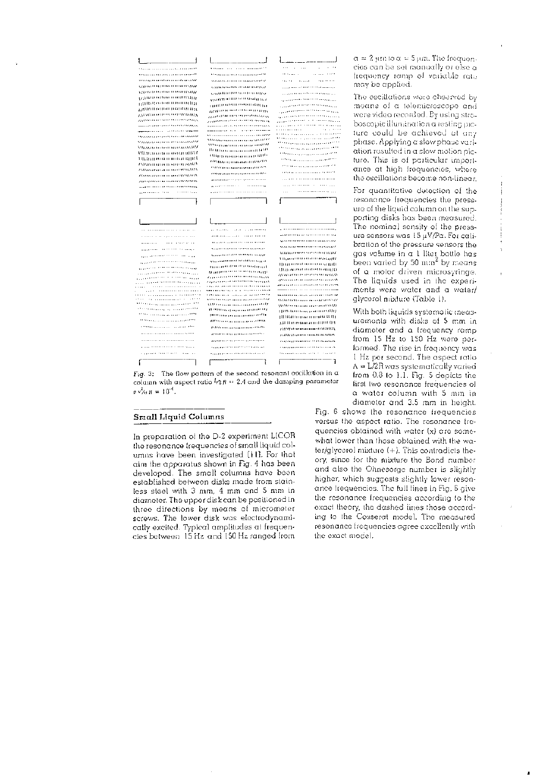

Fig. 3: The flow pattern of the second resonant oscillation in  $\alpha$ column with aspect ratio  $\frac{1}{2}$ *R* = 2.4 and the damping parameter [irst two resonance frequencies of  $\frac{1}{2}$  of  $\frac{1}{2}$  a water column with 5 mm in

#### **Small Liquid Columns**

In preparation of the D-2 experiment LICOR the resonance frequencies of small liquid columns have been investigated [11]. For that aim the apparatus shown in Fig. 4 has been developed. The small columns have been established between disks made from stainless steel with 3 mm, 4 mm and 5 mm in diameter. The upper disk can be positioned in three directions by means of micrometer screws. The lower disk was electrodynamically excited. Typical amplitudes at frequencies between 15 Hz and 150 Hz ranged from

 $a = 2$  inn to  $a = 5$  inn. The frequen-•• cies can bo set manually or else a frequency ramp of variable rate may be applied.

The oscillations were observed by<br>
means of a telemicroscope and<br>
were video recorded, By using stro-<br>
boscopic illumination a resting po-<br>
ture could be achieved at any<br>
phase. Applying a slow phase vari-<br>
ation resulted means of a telemicroscope and were video recorded. By using stroboscopic illumination a resting picfure could be achieved at any phase. Applying a slow phase vari-...','.7'///77777'.'".. ation resulted in a slow motion picture. This is of particular import **ance at high frequencies**, where the oscillations become non-linear.

Ì

j.

þ

For quantitative detection of the | resonance frequencies the pressure of the liquid column on the sup-  $\frac{1}{1}$  porting disks has been measured. ure sensors was 15 uV/Pa. For cali gas volume in a  $1$  liter bottle has been varied by 50 mm<sup>2</sup> by means of a motor driven microsyringe. ments were water and a water/

*",..'",','.'"* from 15 Hz to 150 Hz were performed. The rise in frequency was  $A = L/2R$  was systematically varied<br>from 0.8 to 1.1. Fig. 5 depicts the a water column with 5 mm in diameter and 3.5 mm in height.

Fig. 6 shows the resonance frequencies versus the aspect ratio. The resonance frequencies obtained with water (x) are somewhat lower than those obtained with the wa $ter/q$  lycerol mixture  $(+)$ . This contradicts theory, since for the mixture the Bond number and also the Ohnesorge number is slightly higher, which suggests slightly lower resonance frequencies. The full lines in Fig. 6 give the resonance frequencies according to the exact theory, the dashed lines those according to the Cosserat model. The measured resonance frequencies agree excellently with the exact model.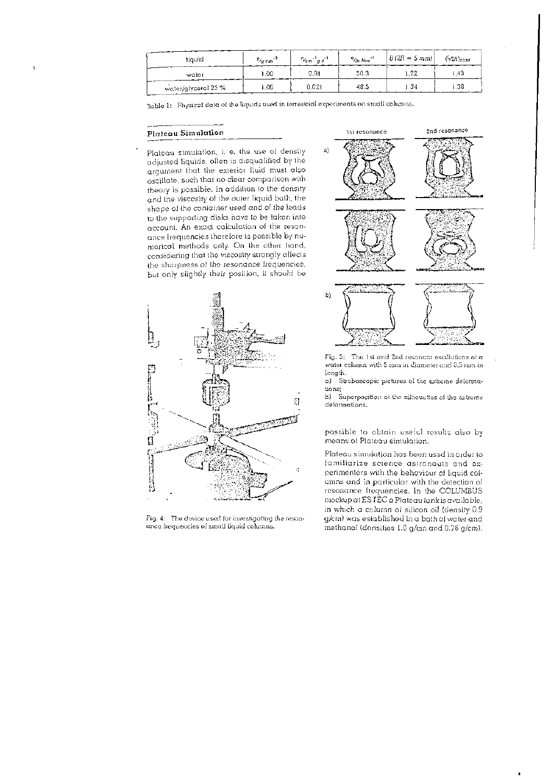| liquid              | $\frac{P}{G}$ cm <sup>-3</sup> | $v_{cm}$ as $v$ | $\%$ <sub>D</sub> $\frac{1}{2}$ | $ B(2R-5mm) $ | $(42B)_{\text{max}}$                                    |
|---------------------|--------------------------------|-----------------|---------------------------------|---------------|---------------------------------------------------------|
| water               | 1.00                           | 0.01            | 50.3                            | 1.22          | -43                                                     |
| water/glycerol 25 % | i.06                           | 0.021           | 48.5                            | - 34 -        | $\overline{.}38$<br>$\cdots$ $\cdots$ $\cdots$ $\cdots$ |

Table 1: Physical data of the liquids used in terrestrial experiments on small columns.

#### **Platea u Simulatio n** 1st resonance

Plateau simulation, i. e. the use of density adjusted liquids, often is disqualified by the argument that the exterior fluid must also oscillate, such that no clear comparison with theory is possible. In addition to the density and the viscosity of the outer liquid bath, the shape of the container used and of the leads to the supporting disks have to be taken into account. An exact calculation of the resonance frequencies therefore is possible by numerical methods only. On the other hand, considering that the viscosity strongly affects the sharpness of the resonance frequencies, but only slightly their position, it should be



Fig. 4: The device used for investigating the resonance frequencies of small liquid columns.



Fig. 5: The 1st and 2nd resonant oscillations of  $\alpha$ water column with 5 mm in diameter and 3.5 mm in length.

a) Stroboscopic pictures oi the extreme deformations;

b) Superposition oi tire silhouettes of the extreme deformations.

possible to obtain useful results also by means of Plateau simulation.

Plateau simulation has been used in order to familiarize science astronauts and experimenters with the behaviour of liquid colunns and in particular with the detection of resonance frequencies. In the COLUMBUS mockup at  $\mathop{\hbox{\rm ESTEC}}$  a Plateau tank is available, in which a column of silicon oil (density 0.9  $g/cm$ ) was established in a bath of water and methanol (densities  $1.0$  g/cm and  $0.76$  g/cm).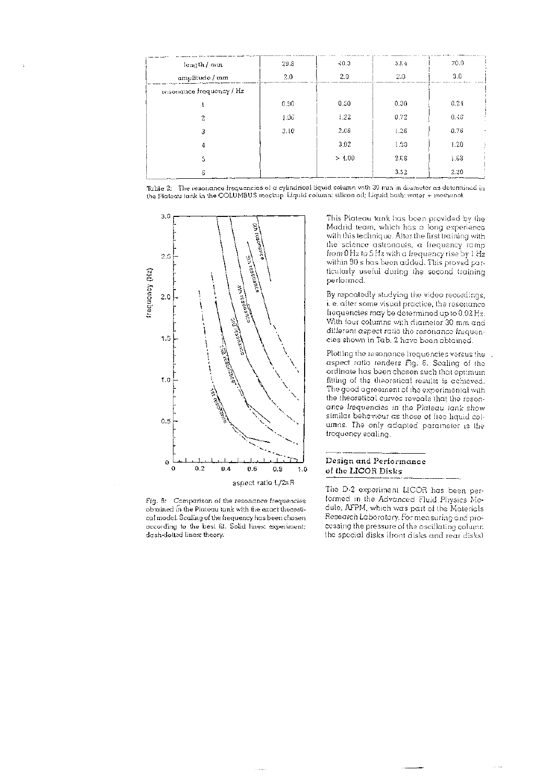| length / mm              | 29.3 | 40.3   | 53.4 | 70.0      |
|--------------------------|------|--------|------|-----------|
| amplitude / mm           | 2.0  | 2.0    | 2,0  | 3.0       |
| resonance frequency / Hz |      |        |      |           |
|                          | 0.90 | 0.50   | 0.30 | 0.24      |
| 2                        | 1.96 | 1.22   | 0.72 | 0.43      |
| 3                        | 3.10 | 2.66   | 1.26 | 0.76<br>٠ |
| 4                        |      | 3.02   | 1.30 | 1.20      |
| 5                        |      | > 4.00 | 2.68 | 4.68      |
| 6                        |      |        | 3.52 | 2.20      |

Table 2: The resonance frequencies of a cylindrical liquid column with 30 mm in diameter as determined in the Plateau tank in the COLUMBUS mockup. Liquid column: silicon oil; Liquid bath: water + methanol.



Fig. 6: Comparison of the resonance frequencies obtained in tire Plateau tank with tire exact theoretical model. Scaling of the frequency has beon chosen according to the best fit. Solid lines: experiment; dash-dotted lines: theory.

This Plateau tank has been provided by the Madrid team, which has a long experience with this technique. Alter the first training with the science astronauts, a frequency ramp from 0 Hz to 5 Hz with a frequency rise by 1 Hz within 90 s has been added . This proved particularly useful during the second training performed.

By repeatedly studying the video recordings, i. e. after some visual practice, the resonance frequencies may be determined up to 0.02 Hz. With four columns with diameter 30 mm and different aspect ratio the resonance frequencies shown in Tab. 2 have been obtained.

Plotting the resonance frequencies versus the aspect ratio renders Fig. 6. Scaling of the ordinate has been chosen such that optimum fitting of the theoretical results is achieved. The good agreement of the experimental with the theoretical curves reveals that the resonance frequencies in the Plateau tank show similar behaviour as those of free liquid columns. The only adapted parameter is the frequency scaling.

## **Design and Performanc e of the LICOR Disk s**

The D-2 experiment LICOR has been performed in the Advanced Fluid Physics Module, AFPM, which was part of the Materials Research Laboratory. For measuring and processing the pressure of the oscillating column the special disks (front disks and rear disks)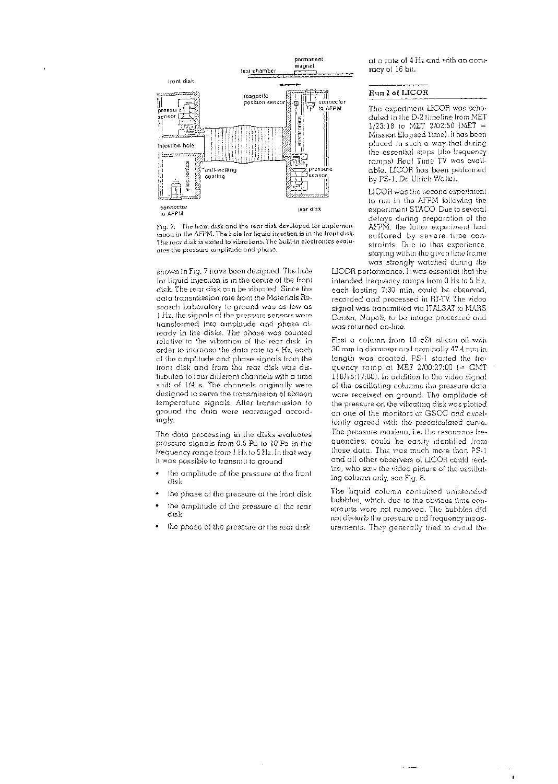

Fig. 7: The front disk and the rear disk developed for implementation in the AFPM. The hole for liquid injection is in the front disk. The rear disk is exited to vibrations. The built-in electronics evaluates tire pressure amplitude and phase .

shown in Fig. 7 have been designed. The hole ior liquid injection is in the centre of the front disk. The rear disk can be vibrated. Since the data transmission rate from the Materials Research Laboratory to ground was as low as 1 Hz, the signals of the pressure sensors were transformed into amplitude and phase already in the disks. The phase was counted relative to the vibration of the rear disk. In order to increase the data rate to 4 Hz, each of the amplitude and phase signals from the front disk and from the rear disk was distributed to four different channels with a time shift of 1/4 s. The channels originally were designed to serve the transmission of sixteen temperature signals. After transmission to ground the data were rearranged accordingly.

The data processing in the disks evaluates pressure signals from 0.5 Pa to 10 Pa in the frequency range from 1 Hz to 5 Hz. In that way it was possible to transmit to ground

- the amplitude of the pressure at the front disk
- the phase of the pressure at the front disk
- the amplitude of the pressure at the rear disk
- the phase of the pressure at the rear disk

at a rate of 4 Hz and with an accuracy of 16 bit.

## **Run I oJ LICOR**

The experiment LICOR was scheduled in the D-2 timeline from MET 1/23:18 to MET 2/02:50 (MET = Mission Elapsed Time). It has been placed in such a way that during the essential steps (the frequency ramps) Real Time TV was available . LICOR has been performed by PS-1, Dr. Ulrich Walter.

LICOR was the second experiment to run in the AFPM following the experiment STACO. Due to several delays during preparation of the AFPM, the latter experiment had suffered by severe time constraints. Due to that experience, staying within the given time frame was strongly watched during the

LICOR performance. It was essential that the intended frequency ramps from 0 Hz to 5 Hz, each lasting 7:30 min, could be observed, recorded and processed in RT-TV. The video signal was transmitted via ITALSAT to MARS. Center, Napoli, to be image processed and was returned on-line.

First a column from 10 cSt silicon oil with.  $30$  mm in diameter and nominally  $47.4$  mm in length was created. PS-1 started the frequency ramp at MET  $2/00:27:00$  (= GMT 118/15:17:00). In addition to the video signal of the oscillating columns the pressure data were received on ground. The amplitude of the pressure on the vibrating disk was plotted on one of the monitors at GSOC and excellently agreed with the precalculated curve. The pressure maxima, i.e. the resonance frequencies, could be easily identified from these data. This was much more than PS-1 and all other observers of LICOR could realize, who saw the video picture of the oscillating column only, see Fig. 8.

The liquid column contained unintended bubbles, which due to the obvious time constraints were not removed. The bubbles did not disturb the pressure and frequency measurements. They generally tried to avoid the

 $\pmb{\cdot}$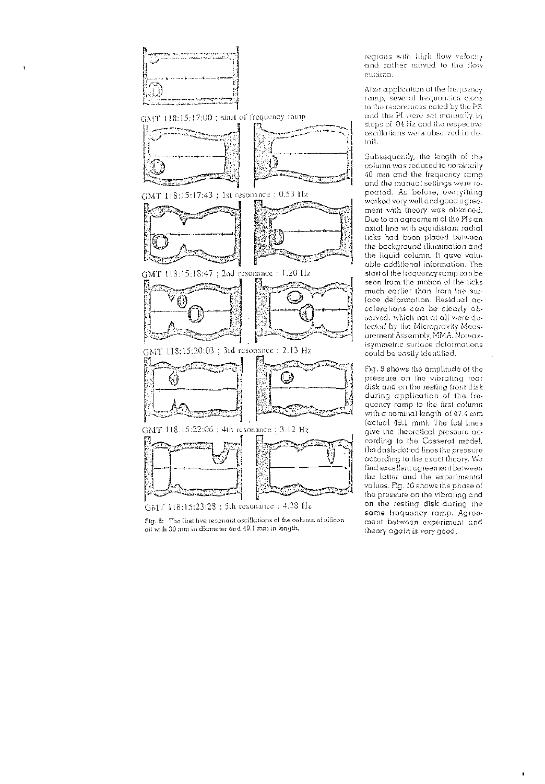

GMT 118:15:17:00 ; start of frequency ramp



GMT 118:15:17:43; 1st resonance : 0.53 Hz



GMT 118:15:20:03 ; 3rd resonance : 2.13 Hz



GMT 118:15:22:06 ; 4th resonance : 3.12 Hz



GMT 118:15:23:28 : 5th resonance : 4.28 Hz

regions with high flow velocity and rather moved to the flow<br>minima.

After application of the frequency ramp, several frequencies close to the resonances noted by the PS and the PI were set manually in steps of .04 Hz and the respective oscillations were observed in detail.

Subsequently, the length of the column was reduced to nominally 40 mm and the frequency ramp and the manual settings were repeated. As before, everything worked very well and good agreement with theory was obtained. Due to an agreement of the Pis anaxial line with equidistant radial ticks had been placed between the background illumination and the liquid column. It gave valuable additional information. The start of the frequency ramp can be seen from the motion of the ticks much earlier than from the surface deformation. Residual accelerations can be clearly observed, which not at all were detected by the Microgravity Measurement Assembly, MMA. Non-axisymmetric surface deformations could be easily identified.

Fig. 3 shows the amplitude of the pressure on the vibrating rear disk and on the resting front disk during application of the frequency ramp to the first column with a nominal length of 47.4 mm (actual 49.1 mm). The full lines give the theoretical pressure according to the Cosserat model, the dash-dotted lines the pressure according to the exact theory. We find excellent agreement between the latter and the experimental values. Fig. 16 shows the phase of the pressure on the vibrating and on the resting disk during the same frequency ramp. Agreement between experiment and theory again is very good.

Fig. 8: The first five resonant oscillations of the column of silicon oil with 30 mm in diameter and 49.1 mm in length.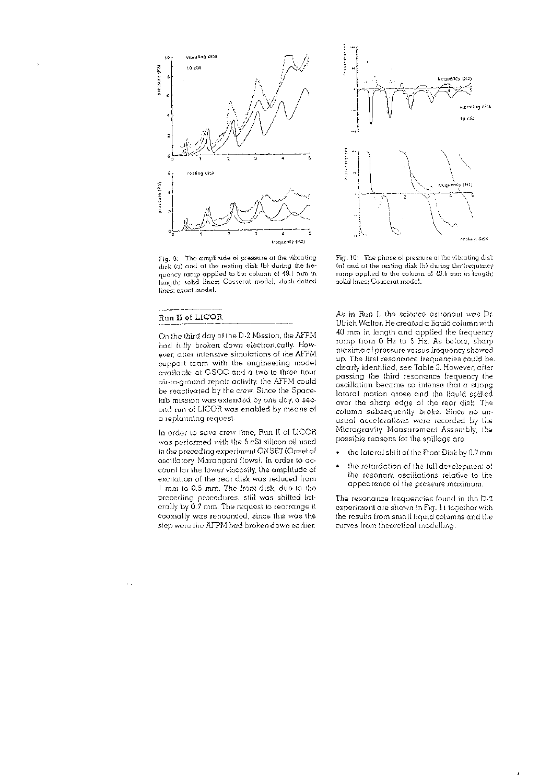

Fig- 3: The amplitude of pressure at the vibrating disk (a) and at the resting disk (b) during the frequency ramp applied to the column of 49.1 mm in length; solid lines: Cosserat model; dash-dotted lines; exact model.

#### **Run II of LICOH**

On the third day of the D-2 Mission, the AFPM had fully broken down electronically. However, alter intensive simulations of the AFPM support team with the engineering model available at GSOC and a two to three hour air-to-ground repair activity, the AFPM could be reactivated by the crew. Since the Spacelab mission was extended by one day, a second run of LICOR was enabled by means of a replanning request.

In order to save crew time, Run II of LICOR was performed with the 5 cSt silicon oil used in the preceding experiment ONSET (Onset of oscillatory Marangoni flows). In order to account for the lower viscosity, the amplitude of excitation of the rear disk was reduced from 1 mm to 0.5 mm. The front disk, due to the preceding procedures, still was shilted laterally by 0.7 mm. The request to rearrange it coaxially was renounced, since this was the step were the AFPM had broken down earlier.



Fig. 10: The phase of pressure at the vibrating disk (a) and at the resting disk (b) during thedrequency ramp applied to the column of 49.1 mm in length; solid lines: Cosserat model.

As in Run I, the science astronaut was Dr. Ulrich Walter. He created a liquid column with 40 mm in length and applied the frequency ramp from 0 Hz to 5 Hz. As before, sharp maxima of pressure versus frequency showed up. The first resonance frequencies could be. clearly identified, see Table 3. However, after passing the third resonance frequency the oscillation became so intense that a strong lateral motion arose and the liquid spilled over the sharp edge of the rear disk. The column subsequently broke. Since no unusual accelerations were recorded by the Microgravity Measurement Assembly, the possible reasons for the spillage are

- the lateral shift of the Front Disk by 0.7 mm
- the retardation of the full development of the resonant oscillations relative to the appearence of the pressure maximum.

The resonance frequencies found in the D-2 experiment are shown in Fig. 11 together with the results from small liquid columns and the curves from theoretical modelling.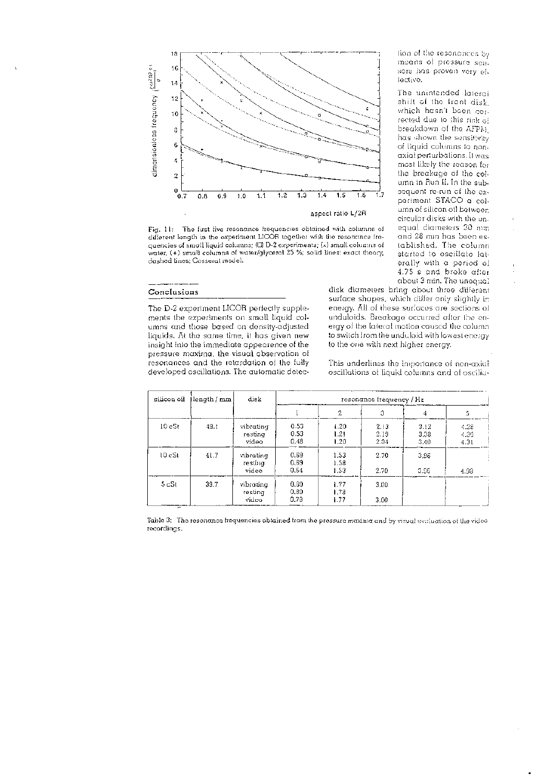

Fig. 11: The first five resonance frequencies obtained with columns of different length in the experiment LICOR together with the resonance frequencies of small liquid columns; (d) D-2 experiments; (x) small columns of water, (+) small columns of water/glycerol 25 %; solid lines: exact theory, dashed lines: Cosserat model.

tion of the resonances by means of pressure sensors has proven very effective.

The unintended laterai shift of the front disk, which hasn't been corrected due to this risk o: breakdown of the *AFPM,*  has shown the sensitivity of liquid columns to nonaxial perturbations. It was most likely the reason for the breakage of the column in Run II. In the subsequent re-run of the experiment STACO a column of silicon oil between circular disks with the unequal diameters 30 mm and 28 mm has been established. The column started to oscillate laterally with a period of 4.75 s and broke after about 3 min. The unequal

## **Conclusions**

The D-2 experiment LICOR perfectly supplements the experiments on small liquid columns and those based on density-adjusted liquids. At the same time, it has given new insight into the immediate appearence of the pressure maxima, the visual observation of resonances and the retardation of the fully developed oscillations. The automatic detec-

disk diameters bring about three different surface shapes, which differ only slightly in energy. All of these surfaces are sections of unduloids. Breakage occurred after the energy of the lateral motion caused the column to switch from the unduloid with lowest energy to the one with next higher energy.

This underlines the importance of non-axial oscillations of liquid columns and of oscilia-

| silicon oil<br>Hength / mm | disk | resonance frequency / Hz       |                      |                      |                      |                      |                      |
|----------------------------|------|--------------------------------|----------------------|----------------------|----------------------|----------------------|----------------------|
|                            |      |                                | 2                    | 3                    | 4                    | 5                    |                      |
| $10c$ St                   | 43.1 | vibrating<br>resting<br>video  | 0.53<br>0.53<br>0.48 | 1.20<br>1.21<br>1.20 | 2.13<br>2.19<br>2.04 | 3.12<br>3.38<br>3.40 | 4.28<br>4.30<br>4.31 |
| 10cSt                      | 41.7 | vibrating<br>restinal<br>video | 0.69<br>0.69<br>0.64 | 1.53<br>1.58<br>1.53 | 2.70<br>2.70         | 3,96<br>3.96         | 4.93                 |
| 5cSt                       | 39.7 | vibrating<br>resting<br>video  | 0.30<br>0.80<br>0.78 | 1.77<br>1.78<br>1.77 | 3.00<br>3.00         |                      |                      |

Table 3: The resonance frequencies obtained from the pressure maxima and by visual evaluation of the video recordings.